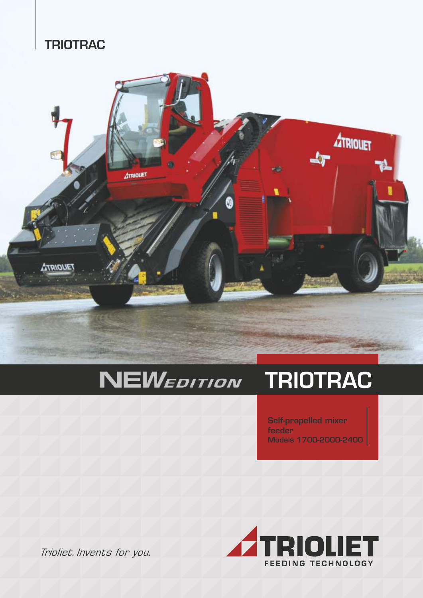## **TRIOTRAC**



#### **NEWEDITION** TRIOTRAC

Self-propelled mixer feeder Models 1700-2000-2400



Trioliet. Invents for you.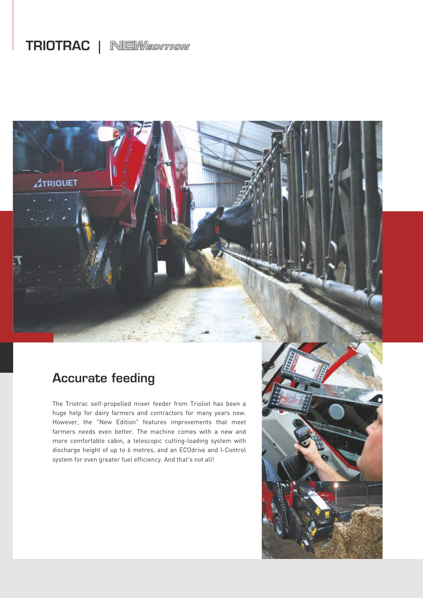# TRIOTRAC | NEWEDITION



## Accurate feeding

The Triotrac self-propelled mixer feeder from Trioliet has been a huge help for dairy farmers and contractors for many years now. However, the "New Edition" features improvements that meet farmers needs even better. The machine comes with a new and more comfortable cabin, a telescopic cutting-loading system with discharge height of up to 6 metres, and an ECOdrive and I-Control system for even greater fuel efficiency. And that's not all!

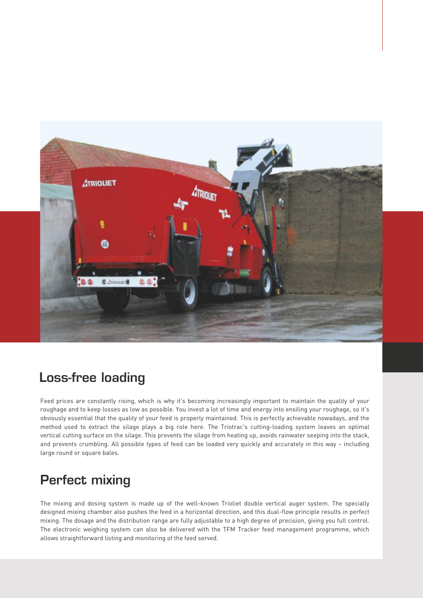

#### Loss-free loading

Feed prices are constantly rising, which is why it's becoming increasingly important to maintain the quality of your roughage and to keep losses as low as possible. You invest a lot of time and energy into ensiling your roughage, so it's obviously essential that the quality of your feed is properly maintained. This is perfectly achievable nowadays, and the method used to extract the silage plays a big role here. The Triotrac's cutting-loading system leaves an optimal vertical cutting surface on the silage. This prevents the silage from heating up, avoids rainwater seeping into the stack, and prevents crumbling. All possible types of feed can be loaded very quickly and accurately in this way – including large round or square bales.

## Perfect mixing

The mixing and dosing system is made up of the well-known Trioliet double vertical auger system. The specially designed mixing chamber also pushes the feed in a horizontal direction, and this dual-flow principle results in perfect mixing. The dosage and the distribution range are fully adjustable to a high degree of precision, giving you full control. The electronic weighing system can also be delivered with the TFM Tracker feed management programme, which allows straightforward listing and monitoring of the feed served.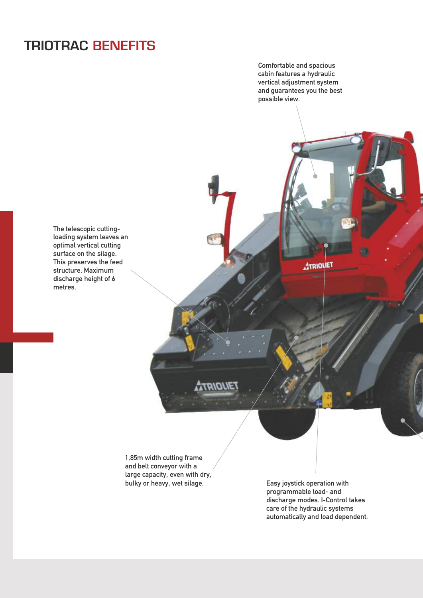# TRIOTRAC BENEFITS

Comfortable and spacious cabin features a hydraulic vertical adjustment system and guarantees you the best possible view.

The telescopic cuttingloading system leaves an optimal vertical cutting surface on the silage. This preserves the feed structure. Maximum discharge height of 6 metres.

> 1,85m width cutting frame and belt conveyor with a large capacity, even with dry,<br>bulky or heavy, wet silage.

**2/0/1E1** 

Easy joystick operation with programmable load- and discharge modes. I-Control takes care of the hydraulic systems automatically and load dependent.

**ATRIOUET**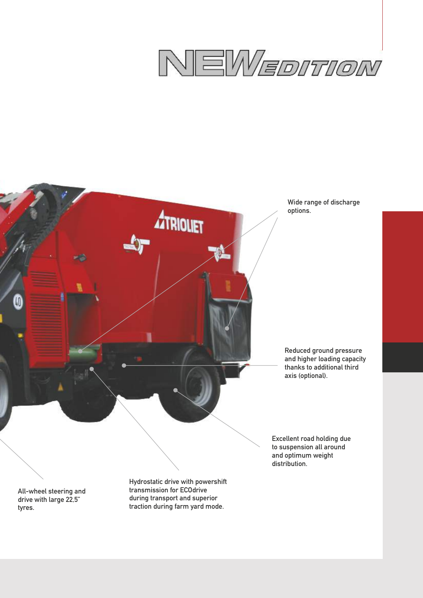

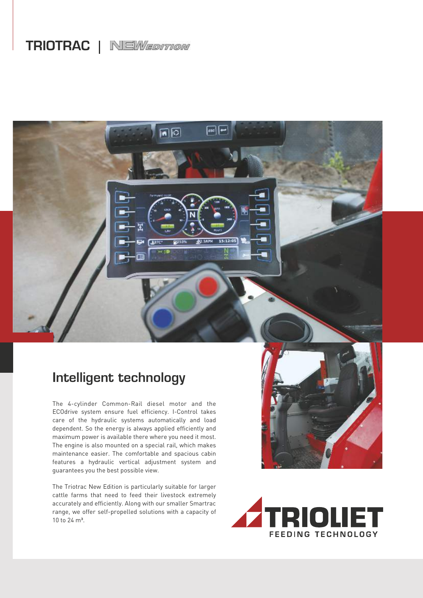# TRIOTRAC | NEWEDITION

同回

15-12-05

### Intelligent technology

The 4-cylinder Common-Rail diesel motor and the ECOdrive system ensure fuel efficiency. I-Control takes care of the hydraulic systems automatically and load dependent. So the energy is always applied efficiently and maximum power is available there where you need it most. The engine is also mounted on a special rail, which makes maintenance easier. The comfortable and spacious cabin features a hydraulic vertical adjustment system and guarantees you the best possible view.

The Triotrac New Edition is particularly suitable for larger cattle farms that need to feed their livestock extremely accurately and efficiently. Along with our smaller Smartrac range, we offer self-propelled solutions with a capacity of 10 to 24 m<sup>3</sup>.



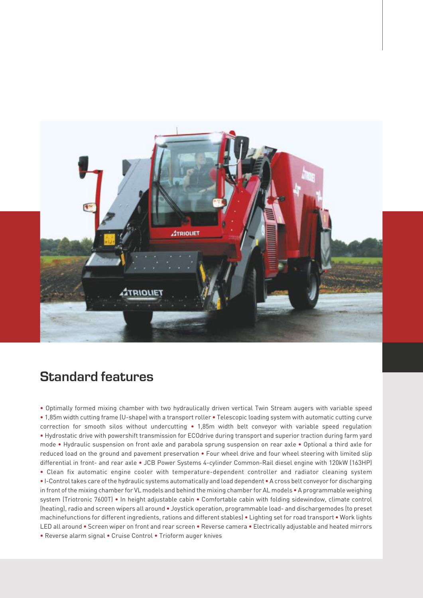

#### Standard features

**•** Optimally formed mixing chamber with two hydraulically driven vertical Twin Stream augers with variable speed **•** 1,85m width cutting frame (U-shape) with a transport roller **•** Telescopic loading system with automatic cutting curve correction for smooth silos without undercutting **•** 1,85m width belt conveyor with variable speed regulation **•** Hydrostatic drive with powershift transmission for ECOdrive during transport and superior traction during farm yard mode **•** Hydraulic suspension on front axle and parabola sprung suspension on rear axle **•** Optional a third axle for reduced load on the ground and pavement preservation **•** Four wheel drive and four wheel steering with limited slip differential in front- and rear axle **•** JCB Power Systems 4-cylinder Common-Rail diesel engine with 120kW (163HP) **•** Clean fix automatic engine cooler with temperature-dependent controller and radiator cleaning system **•** I-Control takes care of the hydraulic systems automatically and load dependent **•** A cross belt conveyor for discharging in front of the mixing chamber for VL models and behind the mixing chamber for AL models **•** A programmable weighing system (Triotronic 7600T) **•** In height adjustable cabin **•** Comfortable cabin with folding sidewindow, climate control (heating), radio and screen wipers all around **•** Joystick operation, programmable load- and dischargemodes (to preset machinefunctions for different ingredients, rations and different stables) **•** Lighting set for road transport **•** Work lights LED all around **•** Screen wiper on front and rear screen **•** Reverse camera **•** Electrically adjustable and heated mirrors **•** Reverse alarm signal **•** Cruise Control **•** Trioform auger knives